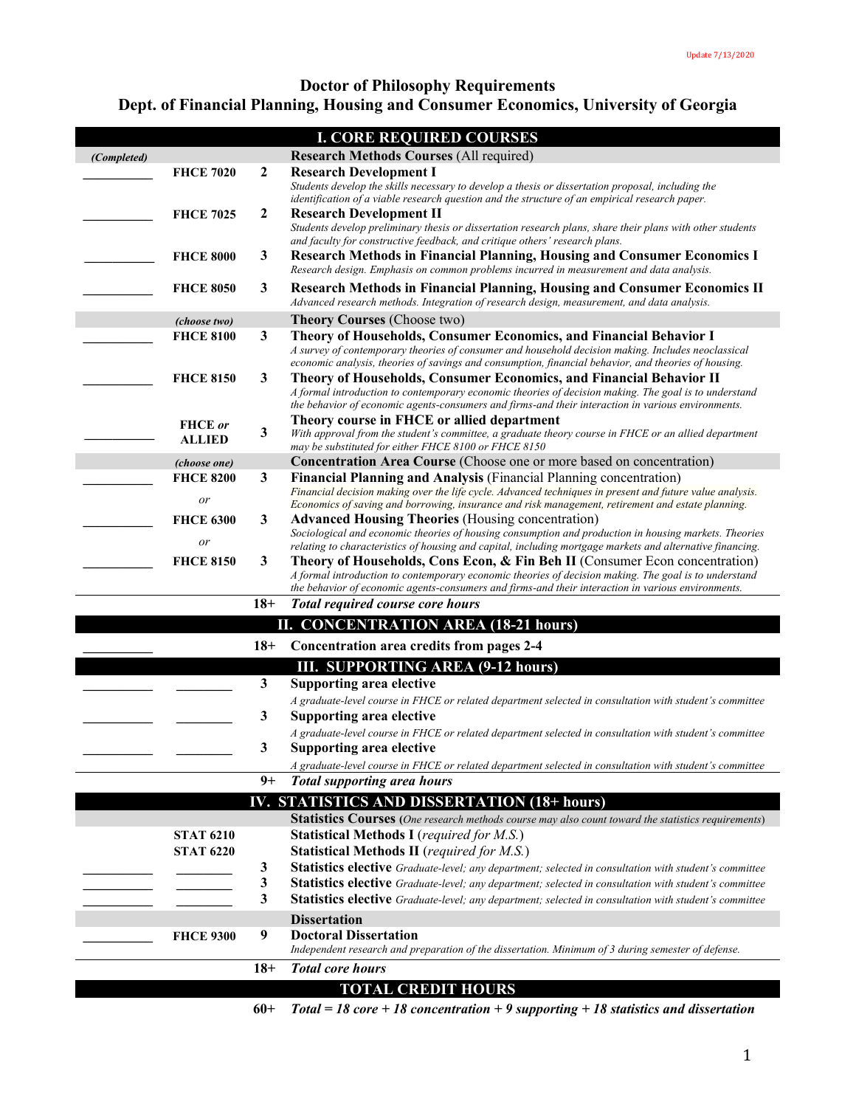# **Doctor of Philosophy Requirements Dept. of Financial Planning, Housing and Consumer Economics, University of Georgia**

| <b>I. CORE REQUIRED COURSES</b> |                        |                  |                                                                                                                                                                                                                                                                                            |  |  |
|---------------------------------|------------------------|------------------|--------------------------------------------------------------------------------------------------------------------------------------------------------------------------------------------------------------------------------------------------------------------------------------------|--|--|
| (Completed)                     |                        |                  | <b>Research Methods Courses (All required)</b>                                                                                                                                                                                                                                             |  |  |
|                                 | <b>FHCE 7020</b>       | $\boldsymbol{2}$ | <b>Research Development I</b><br>Students develop the skills necessary to develop a thesis or dissertation proposal, including the<br>identification of a viable research question and the structure of an empirical research paper.                                                       |  |  |
|                                 | <b>FHCE 7025</b>       | $\boldsymbol{2}$ | <b>Research Development II</b><br>Students develop preliminary thesis or dissertation research plans, share their plans with other students<br>and faculty for constructive feedback, and critique others' research plans.                                                                 |  |  |
|                                 | <b>FHCE 8000</b>       | 3                | <b>Research Methods in Financial Planning, Housing and Consumer Economics I</b><br>Research design. Emphasis on common problems incurred in measurement and data analysis.                                                                                                                 |  |  |
|                                 | <b>FHCE 8050</b>       | 3                | <b>Research Methods in Financial Planning, Housing and Consumer Economics II</b><br>Advanced research methods. Integration of research design, measurement, and data analysis.                                                                                                             |  |  |
|                                 | (choose two)           |                  | <b>Theory Courses (Choose two)</b>                                                                                                                                                                                                                                                         |  |  |
|                                 | <b>FHCE 8100</b>       | $\mathbf{3}$     | Theory of Households, Consumer Economics, and Financial Behavior I<br>A survey of contemporary theories of consumer and household decision making. Includes neoclassical<br>economic analysis, theories of savings and consumption, financial behavior, and theories of housing.           |  |  |
|                                 | <b>FHCE 8150</b>       | 3                | Theory of Households, Consumer Economics, and Financial Behavior II<br>A formal introduction to contemporary economic theories of decision making. The goal is to understand<br>the behavior of economic agents-consumers and firms-and their interaction in various environments.         |  |  |
|                                 | <b>FHCE</b> or         |                  | Theory course in FHCE or allied department                                                                                                                                                                                                                                                 |  |  |
|                                 | <b>ALLIED</b>          | 3                | With approval from the student's committee, a graduate theory course in FHCE or an allied department<br>may be substituted for either FHCE 8100 or FHCE 8150                                                                                                                               |  |  |
|                                 | (choose one)           |                  | Concentration Area Course (Choose one or more based on concentration)                                                                                                                                                                                                                      |  |  |
|                                 | <b>FHCE 8200</b><br>or | 3                | Financial Planning and Analysis (Financial Planning concentration)<br>Financial decision making over the life cycle. Advanced techniques in present and future value analysis.<br>Economics of saving and borrowing, insurance and risk management, retirement and estate planning.        |  |  |
|                                 | <b>FHCE 6300</b>       | 3                | <b>Advanced Housing Theories (Housing concentration)</b>                                                                                                                                                                                                                                   |  |  |
|                                 |                        |                  | Sociological and economic theories of housing consumption and production in housing markets. Theories                                                                                                                                                                                      |  |  |
|                                 | or                     |                  | relating to characteristics of housing and capital, including mortgage markets and alternative financing.                                                                                                                                                                                  |  |  |
|                                 | <b>FHCE 8150</b>       | 3                | Theory of Households, Cons Econ, & Fin Beh II (Consumer Econ concentration)<br>A formal introduction to contemporary economic theories of decision making. The goal is to understand<br>the behavior of economic agents-consumers and firms-and their interaction in various environments. |  |  |
|                                 |                        | $18+$            | <b>Total required course core hours</b>                                                                                                                                                                                                                                                    |  |  |
|                                 |                        |                  | II. CONCENTRATION AREA (18-21 hours)                                                                                                                                                                                                                                                       |  |  |
|                                 |                        | $18+$            | Concentration area credits from pages 2-4                                                                                                                                                                                                                                                  |  |  |
|                                 |                        |                  | <b>III. SUPPORTING AREA (9-12 hours)</b>                                                                                                                                                                                                                                                   |  |  |
|                                 |                        | 3                | <b>Supporting area elective</b>                                                                                                                                                                                                                                                            |  |  |
|                                 |                        |                  | A graduate-level course in FHCE or related department selected in consultation with student's committee                                                                                                                                                                                    |  |  |
|                                 |                        | 3                | <b>Supporting area elective</b>                                                                                                                                                                                                                                                            |  |  |
|                                 |                        |                  | A graduate-level course in FHCE or related department selected in consultation with student's committee                                                                                                                                                                                    |  |  |
|                                 |                        | 3                | Supporting area elective                                                                                                                                                                                                                                                                   |  |  |
|                                 |                        |                  | A graduate-level course in FHCE or related department selected in consultation with student's committee                                                                                                                                                                                    |  |  |
|                                 |                        | $9+$             | <b>Total supporting area hours</b>                                                                                                                                                                                                                                                         |  |  |
|                                 |                        |                  | IV. STATISTICS AND DISSERTATION (18+ hours)                                                                                                                                                                                                                                                |  |  |
|                                 |                        |                  | <b>Statistics Courses</b> (One research methods course may also count toward the statistics requirements)                                                                                                                                                                                  |  |  |
|                                 | <b>STAT 6210</b>       |                  | <b>Statistical Methods I</b> (required for M.S.)                                                                                                                                                                                                                                           |  |  |
|                                 | <b>STAT 6220</b>       |                  | <b>Statistical Methods II</b> (required for M.S.)                                                                                                                                                                                                                                          |  |  |
|                                 |                        | 3                | Statistics elective Graduate-level; any department; selected in consultation with student's committee                                                                                                                                                                                      |  |  |
|                                 |                        | 3                | Statistics elective Graduate-level; any department; selected in consultation with student's committee                                                                                                                                                                                      |  |  |
|                                 |                        | 3                | <b>Statistics elective</b> Graduate-level; any department; selected in consultation with student's committee                                                                                                                                                                               |  |  |
|                                 |                        |                  | <b>Dissertation</b>                                                                                                                                                                                                                                                                        |  |  |
|                                 | <b>FHCE 9300</b>       | 9                | <b>Doctoral Dissertation</b><br>Independent research and preparation of the dissertation. Minimum of 3 during semester of defense.                                                                                                                                                         |  |  |
|                                 |                        | $18+$            | <b>Total core hours</b>                                                                                                                                                                                                                                                                    |  |  |
|                                 |                        |                  | <b>TOTAL CREDIT HOURS</b>                                                                                                                                                                                                                                                                  |  |  |
|                                 |                        | $60+$            | Total = 18 core + 18 concentration + 9 supporting + 18 statistics and dissertation                                                                                                                                                                                                         |  |  |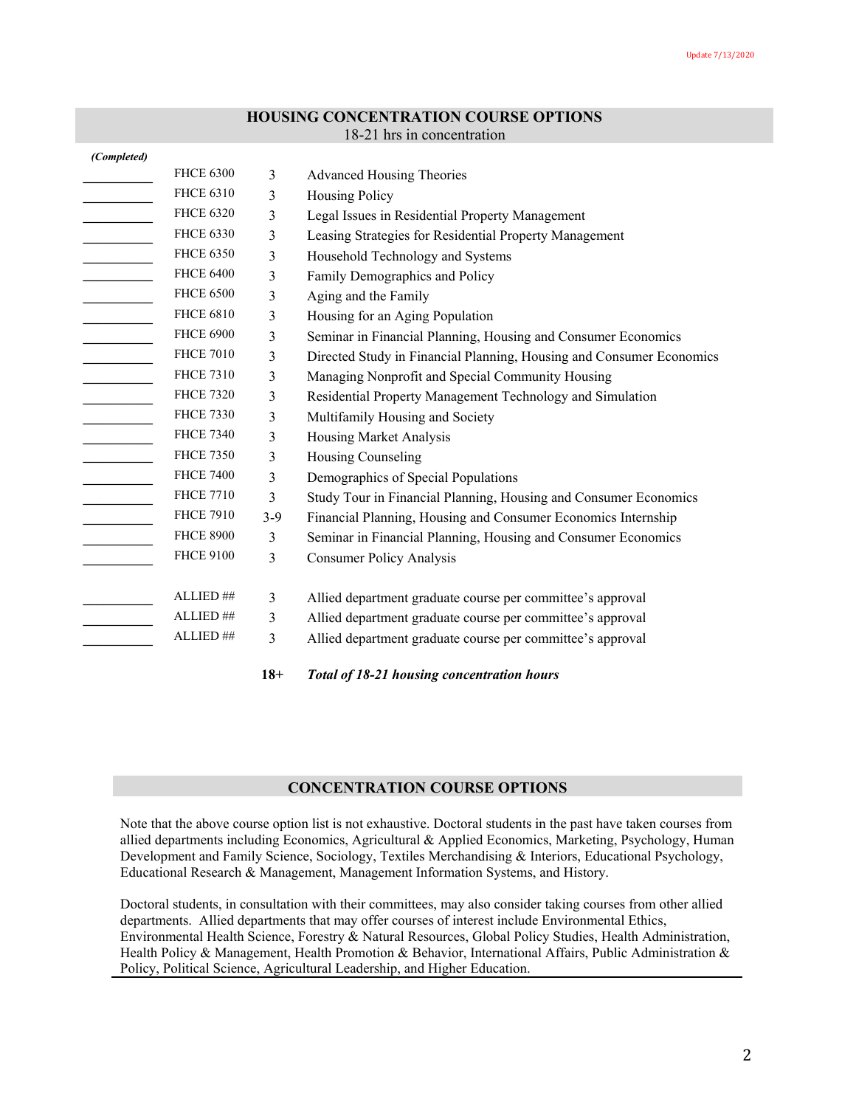## **HOUSING CONCENTRATION COURSE OPTIONS**

### 18-21 hrs in concentration

| (Completed) |                      |       |                                                                      |
|-------------|----------------------|-------|----------------------------------------------------------------------|
|             | <b>FHCE 6300</b>     | 3     | <b>Advanced Housing Theories</b>                                     |
|             | <b>FHCE 6310</b>     | 3     | <b>Housing Policy</b>                                                |
|             | <b>FHCE 6320</b>     | 3     | Legal Issues in Residential Property Management                      |
|             | <b>FHCE 6330</b>     | 3     | Leasing Strategies for Residential Property Management               |
|             | <b>FHCE 6350</b>     | 3     | Household Technology and Systems                                     |
|             | <b>FHCE 6400</b>     | 3     | Family Demographics and Policy                                       |
|             | <b>FHCE 6500</b>     | 3     | Aging and the Family                                                 |
|             | <b>FHCE 6810</b>     | 3     | Housing for an Aging Population                                      |
|             | <b>FHCE 6900</b>     | 3     | Seminar in Financial Planning, Housing and Consumer Economics        |
|             | <b>FHCE 7010</b>     | 3     | Directed Study in Financial Planning, Housing and Consumer Economics |
|             | <b>FHCE 7310</b>     | 3     | Managing Nonprofit and Special Community Housing                     |
|             | <b>FHCE 7320</b>     | 3     | Residential Property Management Technology and Simulation            |
|             | <b>FHCE 7330</b>     | 3     | Multifamily Housing and Society                                      |
|             | <b>FHCE 7340</b>     | 3     | Housing Market Analysis                                              |
|             | <b>FHCE 7350</b>     | 3     | Housing Counseling                                                   |
|             | <b>FHCE 7400</b>     | 3     | Demographics of Special Populations                                  |
|             | <b>FHCE 7710</b>     | 3     | Study Tour in Financial Planning, Housing and Consumer Economics     |
|             | <b>FHCE 7910</b>     | $3-9$ | Financial Planning, Housing and Consumer Economics Internship        |
|             | <b>FHCE 8900</b>     | 3     | Seminar in Financial Planning, Housing and Consumer Economics        |
|             | <b>FHCE 9100</b>     | 3     | <b>Consumer Policy Analysis</b>                                      |
|             |                      |       |                                                                      |
|             | ALLIED##             | 3     | Allied department graduate course per committee's approval           |
|             | $\mathrm{ALLIED}$ ## | 3     | Allied department graduate course per committee's approval           |
|             | ALLIED##             | 3     | Allied department graduate course per committee's approval           |
|             |                      |       |                                                                      |

**18+** *Total of 18-21 housing concentration hours* 

## **CONCENTRATION COURSE OPTIONS**

Note that the above course option list is not exhaustive. Doctoral students in the past have taken courses from allied departments including Economics, Agricultural & Applied Economics, Marketing, Psychology, Human Development and Family Science, Sociology, Textiles Merchandising & Interiors, Educational Psychology, Educational Research & Management, Management Information Systems, and History.

Doctoral students, in consultation with their committees, may also consider taking courses from other allied departments. Allied departments that may offer courses of interest include Environmental Ethics, Environmental Health Science, Forestry & Natural Resources, Global Policy Studies, Health Administration, Health Policy & Management, Health Promotion & Behavior, International Affairs, Public Administration & Policy, Political Science, Agricultural Leadership, and Higher Education.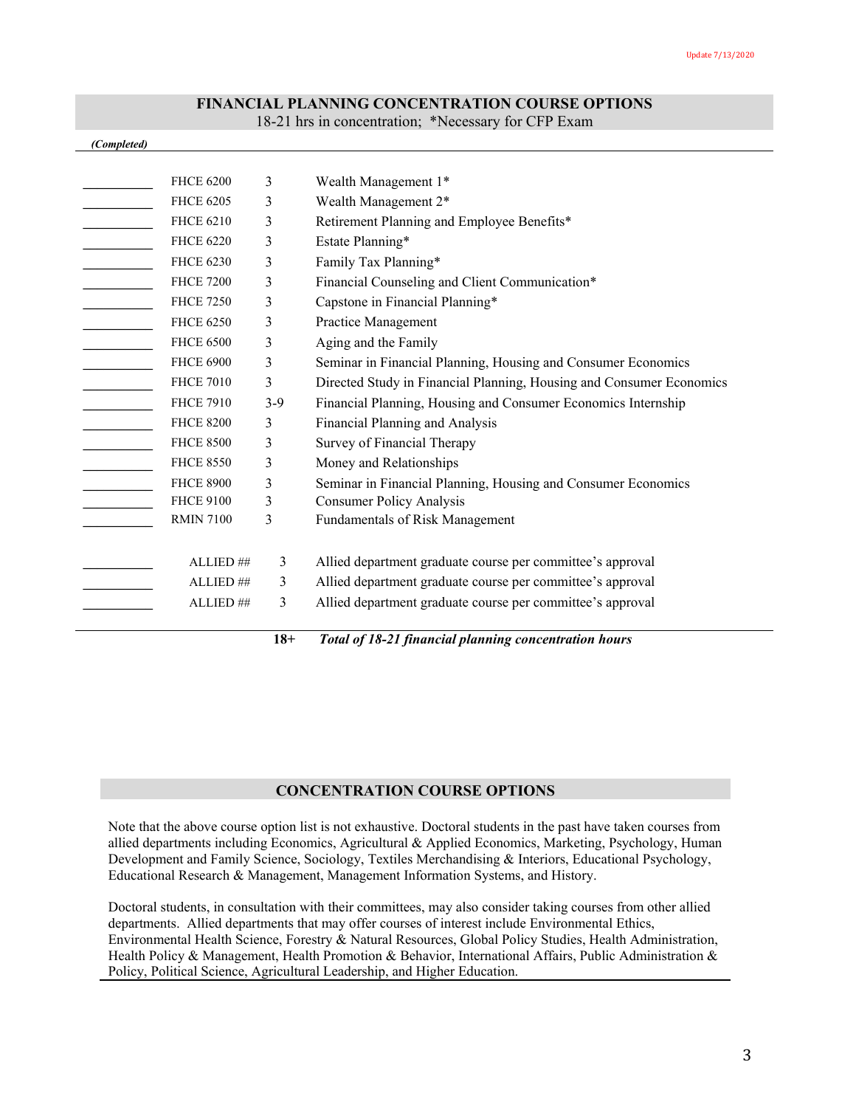## **FINANCIAL PLANNING CONCENTRATION COURSE OPTIONS**

18-21 hrs in concentration; \*Necessary for CFP Exam

#### *(Completed)*

| <b>FHCE 6200</b> | 3     | Wealth Management 1*                                                 |
|------------------|-------|----------------------------------------------------------------------|
| <b>FHCE 6205</b> | 3     | Wealth Management 2*                                                 |
| <b>FHCE 6210</b> | 3     | Retirement Planning and Employee Benefits*                           |
| <b>FHCE 6220</b> | 3     | Estate Planning*                                                     |
| <b>FHCE 6230</b> | 3     | Family Tax Planning*                                                 |
| <b>FHCE 7200</b> | 3     | Financial Counseling and Client Communication*                       |
| <b>FHCE 7250</b> | 3     | Capstone in Financial Planning*                                      |
| <b>FHCE 6250</b> | 3     | Practice Management                                                  |
| <b>FHCE 6500</b> | 3     | Aging and the Family                                                 |
| <b>FHCE 6900</b> | 3     | Seminar in Financial Planning, Housing and Consumer Economics        |
| <b>FHCE 7010</b> | 3     | Directed Study in Financial Planning, Housing and Consumer Economics |
| <b>FHCE 7910</b> | $3-9$ | Financial Planning, Housing and Consumer Economics Internship        |
| <b>FHCE 8200</b> | 3     | Financial Planning and Analysis                                      |
| <b>FHCE 8500</b> | 3     | Survey of Financial Therapy                                          |
| <b>FHCE 8550</b> | 3     | Money and Relationships                                              |
| <b>FHCE 8900</b> | 3     | Seminar in Financial Planning, Housing and Consumer Economics        |
| <b>FHCE 9100</b> | 3     | <b>Consumer Policy Analysis</b>                                      |
| <b>RMIN 7100</b> | 3     | Fundamentals of Risk Management                                      |
|                  |       |                                                                      |
| ALLIED ##        | 3     | Allied department graduate course per committee's approval           |
| ALLIED ##        | 3     | Allied department graduate course per committee's approval           |
| ALLIED ##        | 3     | Allied department graduate course per committee's approval           |
|                  |       |                                                                      |

**18+** *Total of 18-21 financial planning concentration hours*

#### **CONCENTRATION COURSE OPTIONS**

Note that the above course option list is not exhaustive. Doctoral students in the past have taken courses from allied departments including Economics, Agricultural & Applied Economics, Marketing, Psychology, Human Development and Family Science, Sociology, Textiles Merchandising & Interiors, Educational Psychology, Educational Research & Management, Management Information Systems, and History.

Doctoral students, in consultation with their committees, may also consider taking courses from other allied departments. Allied departments that may offer courses of interest include Environmental Ethics, Environmental Health Science, Forestry & Natural Resources, Global Policy Studies, Health Administration, Health Policy & Management, Health Promotion & Behavior, International Affairs, Public Administration & Policy, Political Science, Agricultural Leadership, and Higher Education.